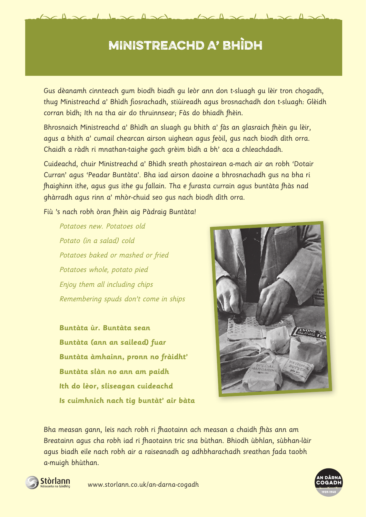# MINISTREACHD A' BHÌDH

 $\Delta \sim$ 

Gus dèanamh cinnteach gum biodh biadh gu leòr ann don t-sluagh gu lèir tron chogadh, thug Ministreachd a' Bhìdh fiosrachadh, stiùireadh agus brosnachadh don t-sluagh: Glèidh corran bìdh; Ith na tha air do thruinnsear; Fàs do bhiadh fhèin.

Bhrosnaich Ministreachd a' Bhìdh an sluagh gu bhith a' fàs an glasraich fhèin gu lèir, agus a bhith a' cumail chearcan airson uighean agus feòil, gus nach biodh dìth orra. Chaidh a ràdh ri mnathan-taighe gach grèim bìdh a bh' aca a chleachdadh.

Cuideachd, chuir Ministreachd a' Bhìdh sreath phostairean a-mach air an robh 'Dotair Curran' agus 'Peadar Buntàta'. Bha iad airson daoine a bhrosnachadh gus na bha ri fhaighinn ithe, agus gus ithe gu fallain. Tha e furasta currain agus buntàta fhàs nad ghàrradh agus rinn a' mhòr-chuid seo gus nach biodh dìth orra.

Fiù 's nach robh òran fhèin aig Pàdraig Buntàta!

Potatoes new. Potatoes old Potato (in a salad) cold Potatoes baked or mashed or fried Potatoes whole, potato pied Enjoy them all including chips Remembering spuds don't come in ships

**Buntàta ùr. Buntàta sean Buntàta (ann an sailead) fuar Buntàta àmhainn, pronn no fràidht' Buntàta slàn no ann am paidh Ith do lèor, sliseagan cuideachd Is cuimhnich nach tig buntàt' air bàta**



Bha measan gann, leis nach robh ri fhaotainn ach measan a chaidh fhàs ann am Breatainn agus cha robh iad ri fhaotainn tric sna bùthan. Bhiodh ùbhlan, sùbhan-làir agus biadh eile nach robh air a raiseanadh ag adhbharachadh sreathan fada taobh a-muigh bhùthan.



www.storlann.co.uk/an-darna-cogadh

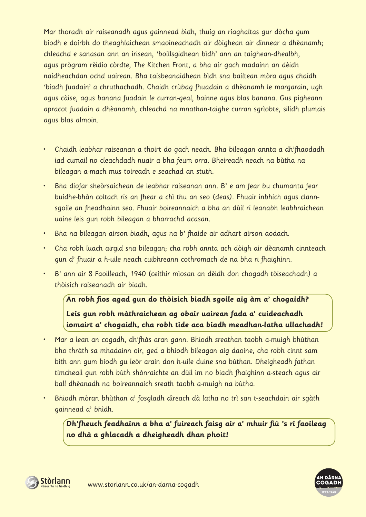Mar thoradh air raiseanadh agus gainnead bìdh, thuig an riaghaltas gur dòcha gum biodh e doirbh do theaghlaichean smaoineachadh air dòighean air dinnear a dhèanamh; chleachd e sanasan ann an irisean, 'boillsgidhean bìdh' ann an taighean-dhealbh, agus prògram rèidio còrdte, The Kitchen Front, a bha air gach madainn an dèidh naidheachdan ochd uairean. Bha taisbeanaidhean bìdh sna bailtean mòra agus chaidh 'biadh fuadain' a chruthachadh. Chaidh crùbag fhuadain a dhèanamh le margarain, ugh agus càise, agus banana fuadain le curran-geal, bainne agus blas banana. Gus pigheann apracot fuadain a dhèanamh, chleachd na mnathan-taighe curran sgrìobte, silidh plumais agus blas almoin.

- Chaidh leabhar raiseanan a thoirt do gach neach. Bha bileagan annta a dh'fhaodadh iad cumail no cleachdadh nuair a bha feum orra. Bheireadh neach na bùtha na bileagan a-mach mus toireadh e seachad an stuth.
- Bha diofar sheòrsaichean de leabhar raiseanan ann. B' e am fear bu chumanta fear buidhe-bhàn coltach ris an fhear a chì thu an seo (deas). Fhuair inbhich agus clannsgoile an fheadhainn seo. Fhuair boireannaich a bha an dùil ri leanabh leabhraichean uaine leis gun robh bileagan a bharrachd acasan.
- Bha na bileagan airson biadh, agus na b' fhaide air adhart airson aodach.
- Cha robh luach airgid sna bileagan; cha robh annta ach dòigh air dèanamh cinnteach gun d' fhuair a h-uile neach cuibhreann cothromach de na bha ri fhaighinn.
- B' ann air 8 Faoilleach, 1940 (ceithir mìosan an dèidh don chogadh tòiseachadh) a thòisich raiseanadh air biadh.

# **An robh fios agad gun do thòisich biadh sgoile aig àm a' chogaidh? Leis gun robh màthraichean ag obair uairean fada a' cuideachadh iomairt a' chogaidh, cha robh tìde aca biadh meadhan-latha ullachadh!**

- Mar a lean an cogadh, dh'fhàs aran gann. Bhiodh sreathan taobh a-muigh bhùthan bho thràth sa mhadainn oir, ged a bhiodh bileagan aig daoine, cha robh cinnt sam bith ann gum biodh gu leòr arain don h-uile duine sna bùthan. Dheigheadh fathan timcheall gun robh bùth shònraichte an dùil ìm no biadh fhaighinn a-steach agus air ball dhèanadh na boireannaich sreath taobh a-muigh na bùtha.
- Bhiodh mòran bhùthan a' fosgladh dìreach dà latha no trì san t-seachdain air sgàth gainnead a' bhìdh.

**Dh'fheuch feadhainn a bha a' fuireach faisg air a' mhuir fiù 's ri faoileag no dhà a ghlacadh a dheigheadh dhan phoit!**



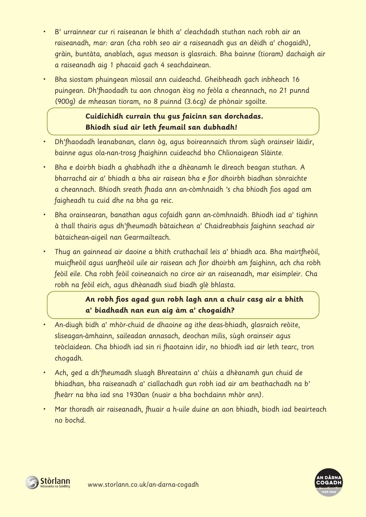- B' urrainnear cur ri raiseanan le bhith a' cleachdadh stuthan nach robh air an raiseanadh, mar: aran (cha robh seo air a raiseanadh gus an dèidh a' chogaidh), gràin, buntàta, anablach, agus measan is glasraich. Bha bainne (tioram) dachaigh air a raiseanadh aig 1 phacaid gach 4 seachdainean.
- Bha siostam phuingean mìosail ann cuideachd. Gheibheadh gach inbheach 16 puingean. Dh'fhaodadh tu aon chnogan èisg no feòla a cheannach, no 21 punnd (900g) de mheasan tioram, no 8 puinnd (3.6cg) de phònair sgoilte.

### **Cuidichidh currain thu gus faicinn san dorchadas. Bhiodh siud air leth feumail san dubhadh!**

- Dh'fhaodadh leanabanan, clann òg, agus boireannaich throm sùgh orainseir làidir, bainne agus ola-nan-trosg fhaighinn cuideachd bho Chlionaigean Slàinte.
- Bha e doirbh biadh a ghabhadh ithe a dhèanamh le dìreach beagan stuthan. A bharrachd air a' bhiadh a bha air raisean bha e fìor dhoirbh biadhan sònraichte a cheannach. Bhiodh sreath fhada ann an-còmhnaidh 's cha bhiodh fios agad am faigheadh tu cuid dhe na bha ga reic.
- Bha orainsearan, banathan agus cofaidh gann an-còmhnaidh. Bhiodh iad a' tighinn à thall thairis agus dh'fheumadh bàtaichean a' Chaidreabhais faighinn seachad air bàtaichean-aigeil nan Gearmailteach.
- Thug an gainnead air daoine a bhith cruthachail leis a' bhiadh aca. Bha mairtfheòil, muicfheòil agus uanfheòil uile air raisean ach fìor dhoirbh am faighinn, ach cha robh feòil eile. Cha robh feòil coineanaich no circe air an raiseanadh, mar eisimpleir. Cha robh na feòil eich, agus dhèanadh siud biadh glè bhlasta.

## **An robh fios agad gun robh lagh ann a chuir casg air a bhith a' biadhadh nan eun aig àm a' chogaidh?**

- An-diugh bidh a' mhòr-chuid de dhaoine ag ithe deas-bhiadh, glasraich reòite, sliseagan-àmhainn, saileadan annasach, deochan milis, sùgh orainseir agus teòclaidean. Cha bhiodh iad sin ri fhaotainn idir, no bhiodh iad air leth tearc, tron chogadh.
- Ach, ged a dh'fheumadh sluagh Bhreatainn a' chùis a dhèanamh gun chuid de bhiadhan, bha raiseanadh a' ciallachadh gun robh iad air am beathachadh na b' fheàrr na bha iad sna 1930an (nuair a bha bochdainn mhòr ann).
- Mar thoradh air raiseanadh, fhuair a h-uile duine an aon bhiadh, biodh iad beairteach no bochd.